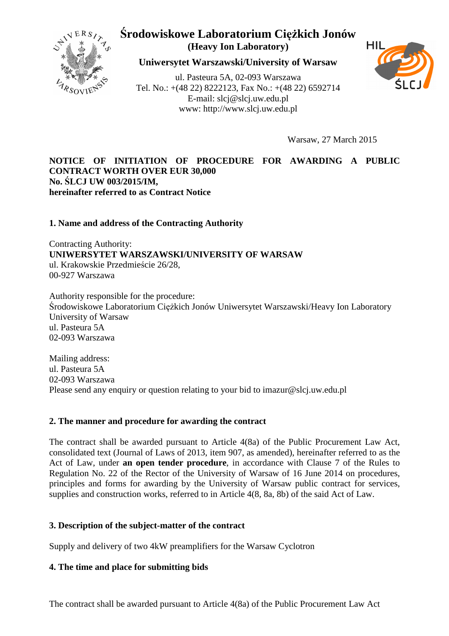

**Uniwersytet Warszawski/University of Warsaw**

ul. Pasteura 5A, 02-093 Warszawa Tel. No.: +(48 22) 8222123, Fax No.: +(48 22) 6592714 E-mail: slcj@slcj.uw.edu.pl www: http://www.slcj.uw.edu.pl



Warsaw, 27 March 2015

#### **NOTICE OF INITIATION OF PROCEDURE FOR AWARDING A PUBLIC CONTRACT WORTH OVER EUR 30,000 No. ŚLCJ UW 003/2015/IM, hereinafter referred to as Contract Notice**

#### **1. Name and address of the Contracting Authority**

Contracting Authority: **UNIWERSYTET WARSZAWSKI/UNIVERSITY OF WARSAW**  ul. Krakowskie Przedmieście 26/28, 00-927 Warszawa

Authority responsible for the procedure: Środowiskowe Laboratorium Ciężkich Jonów Uniwersytet Warszawski/Heavy Ion Laboratory University of Warsaw ul. Pasteura 5A 02-093 Warszawa

Mailing address: ul. Pasteura 5A 02-093 Warszawa Please send any enquiry or question relating to your bid to imazur@slcj.uw.edu.pl

#### **2. The manner and procedure for awarding the contract**

The contract shall be awarded pursuant to Article 4(8a) of the Public Procurement Law Act, consolidated text (Journal of Laws of 2013, item 907, as amended), hereinafter referred to as the Act of Law, under **an open tender procedure**, in accordance with Clause 7 of the Rules to Regulation No. 22 of the Rector of the University of Warsaw of 16 June 2014 on procedures, principles and forms for awarding by the University of Warsaw public contract for services, supplies and construction works, referred to in Article 4(8, 8a, 8b) of the said Act of Law.

#### **3. Description of the subject-matter of the contract**

Supply and delivery of two 4kW preamplifiers for the Warsaw Cyclotron

#### **4. The time and place for submitting bids**

The contract shall be awarded pursuant to Article 4(8a) of the Public Procurement Law Act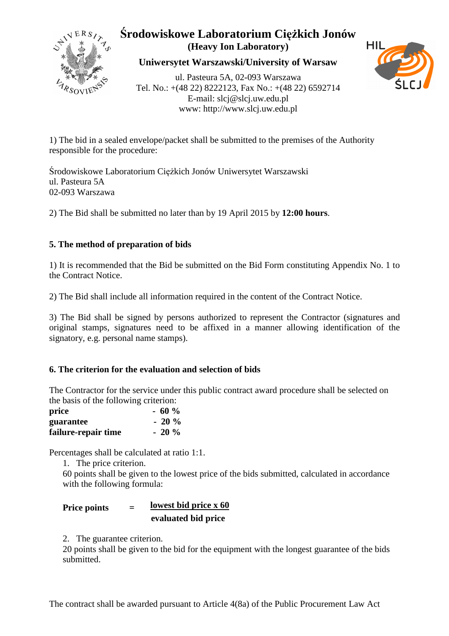

**Uniwersytet Warszawski/University of Warsaw**

ul. Pasteura 5A, 02-093 Warszawa Tel. No.: +(48 22) 8222123, Fax No.: +(48 22) 6592714 E-mail: slcj@slcj.uw.edu.pl www: http://www.slcj.uw.edu.pl



1) The bid in a sealed envelope/packet shall be submitted to the premises of the Authority responsible for the procedure:

Środowiskowe Laboratorium Ciężkich Jonów Uniwersytet Warszawski ul. Pasteura 5A 02-093 Warszawa

2) The Bid shall be submitted no later than by 19 April 2015 by **12:00 hours**.

## **5. The method of preparation of bids**

1) It is recommended that the Bid be submitted on the Bid Form constituting Appendix No. 1 to the Contract Notice.

2) The Bid shall include all information required in the content of the Contract Notice.

3) The Bid shall be signed by persons authorized to represent the Contractor (signatures and original stamps, signatures need to be affixed in a manner allowing identification of the signatory, e.g. personal name stamps).

### **6. The criterion for the evaluation and selection of bids**

The Contractor for the service under this public contract award procedure shall be selected on the basis of the following criterion:

| price               | $-60%$  |
|---------------------|---------|
| guarantee           | $-20\%$ |
| failure-repair time | $-20\%$ |

Percentages shall be calculated at ratio 1:1.

1. The price criterion.

60 points shall be given to the lowest price of the bids submitted, calculated in accordance with the following formula:

| <b>Price points</b> | $=$ | lowest bid price x 60 |
|---------------------|-----|-----------------------|
|                     |     | evaluated bid price   |

2. The guarantee criterion.

20 points shall be given to the bid for the equipment with the longest guarantee of the bids submitted.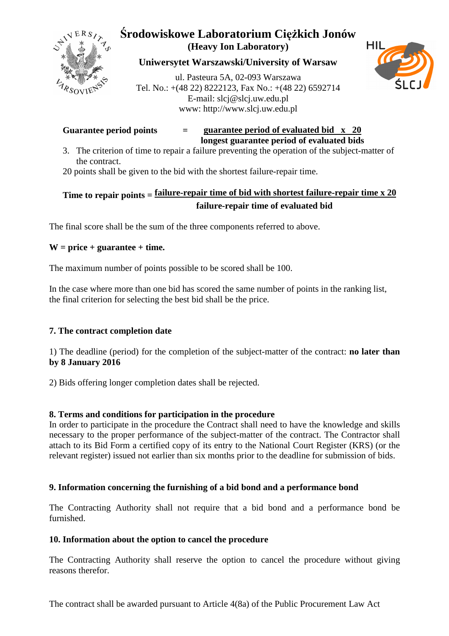

## **Uniwersytet Warszawski/University of Warsaw**

ul. Pasteura 5A, 02-093 Warszawa Tel. No.: +(48 22) 8222123, Fax No.: +(48 22) 6592714 E-mail: slcj@slcj.uw.edu.pl www: http://www.slcj.uw.edu.pl



#### **Guarantee period points = guarantee period of evaluated bid x 20 longest guarantee period of evaluated bids**

- 3. The criterion of time to repair a failure preventing the operation of the subject-matter of the contract.
- 20 points shall be given to the bid with the shortest failure-repair time.

# **Time to repair points = failure-repair time of bid with shortest failure-repair time x 20 failure-repair time of evaluated bid**

The final score shall be the sum of the three components referred to above.

### **W = price + guarantee + time.**

The maximum number of points possible to be scored shall be 100.

In the case where more than one bid has scored the same number of points in the ranking list, the final criterion for selecting the best bid shall be the price.

### **7. The contract completion date**

1) The deadline (period) for the completion of the subject-matter of the contract: **no later than by 8 January 2016** 

2) Bids offering longer completion dates shall be rejected.

### **8. Terms and conditions for participation in the procedure**

In order to participate in the procedure the Contract shall need to have the knowledge and skills necessary to the proper performance of the subject-matter of the contract. The Contractor shall attach to its Bid Form a certified copy of its entry to the National Court Register (KRS) (or the relevant register) issued not earlier than six months prior to the deadline for submission of bids.

#### **9. Information concerning the furnishing of a bid bond and a performance bond**

The Contracting Authority shall not require that a bid bond and a performance bond be furnished.

#### **10. Information about the option to cancel the procedure**

The Contracting Authority shall reserve the option to cancel the procedure without giving reasons therefor.

The contract shall be awarded pursuant to Article 4(8a) of the Public Procurement Law Act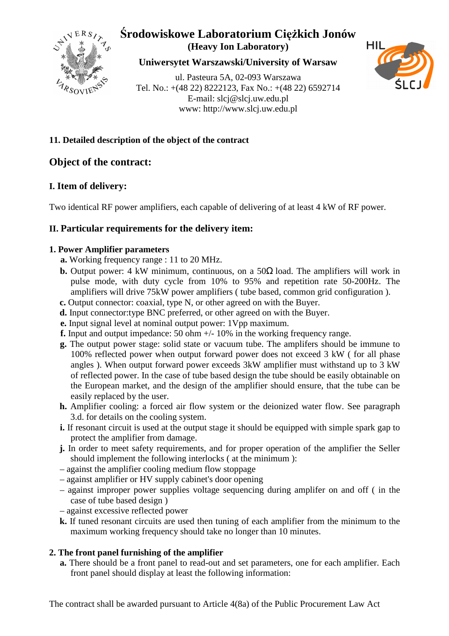

**Uniwersytet Warszawski/University of Warsaw**

ul. Pasteura 5A, 02-093 Warszawa Tel. No.: +(48 22) 8222123, Fax No.: +(48 22) 6592714 E-mail: slcj@slcj.uw.edu.pl www: http://www.slcj.uw.edu.pl



### **11. Detailed description of the object of the contract**

# **Object of the contract:**

# **I. Item of delivery:**

Two identical RF power amplifiers, each capable of delivering of at least 4 kW of RF power.

# **II. Particular requirements for the delivery item:**

#### **1. Power Amplifier parameters**

- **a.** Working frequency range : 11 to 20 MHz.
- **b.** Output power: 4 kW minimum, continuous, on a  $50\Omega$  load. The amplifiers will work in pulse mode, with duty cycle from 10% to 95% and repetition rate 50-200Hz. The amplifiers will drive 75kW power amplifiers ( tube based, common grid configuration ).
- **c.** Output connector: coaxial, type N, or other agreed on with the Buyer.
- **d.** Input connector:type BNC preferred, or other agreed on with the Buyer.
- **e.** Input signal level at nominal output power: 1Vpp maximum.
- **f.** Input and output impedance: 50 ohm +/- 10% in the working frequency range.
- **g.** The output power stage: solid state or vacuum tube. The amplifers should be immune to 100% reflected power when output forward power does not exceed 3 kW ( for all phase angles ). When output forward power exceeds 3kW amplifier must withstand up to 3 kW of reflected power. In the case of tube based design the tube should be easily obtainable on the European market, and the design of the amplifier should ensure, that the tube can be easily replaced by the user.
- **h.** Amplifier cooling: a forced air flow system or the deionized water flow. See paragraph 3.d. for details on the cooling system.
- **i.** If resonant circuit is used at the output stage it should be equipped with simple spark gap to protect the amplifier from damage.
- **j.** In order to meet safety requirements, and for proper operation of the amplifier the Seller should implement the following interlocks ( at the minimum ):
- against the amplifier cooling medium flow stoppage
- against amplifier or HV supply cabinet's door opening
- against improper power supplies voltage sequencing during amplifer on and off ( in the case of tube based design )
- against excessive reflected power
- **k.** If tuned resonant circuits are used then tuning of each amplifier from the minimum to the maximum working frequency should take no longer than 10 minutes.

### **2. The front panel furnishing of the amplifier**

**a.** There should be a front panel to read-out and set parameters, one for each amplifier. Each front panel should display at least the following information: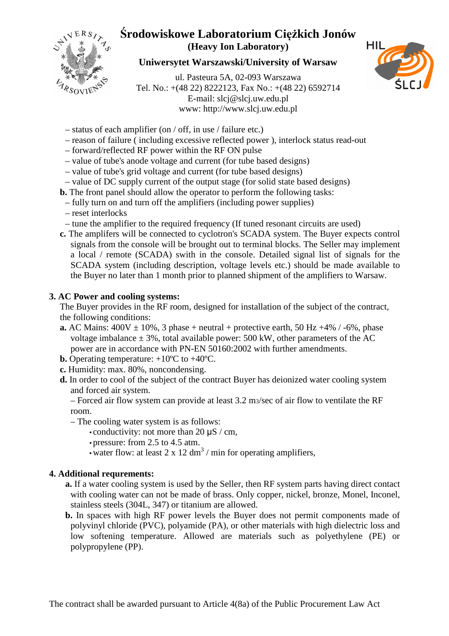

### **Uniwersytet Warszawski/University of Warsaw**

ul. Pasteura 5A, 02-093 Warszawa Tel. No.: +(48 22) 8222123, Fax No.: +(48 22) 6592714 E-mail: slcj@slcj.uw.edu.pl www: http://www.slcj.uw.edu.pl



- status of each amplifier (on / off, in use / failure etc.)
- reason of failure ( including excessive reflected power ), interlock status read-out
- forward/reflected RF power within the RF ON pulse
- value of tube's anode voltage and current (for tube based designs)
- value of tube's grid voltage and current (for tube based designs)
- value of DC supply current of the output stage (for solid state based designs)
- **b.** The front panel should allow the operator to perform the following tasks:
	- fully turn on and turn off the amplifiers (including power supplies)
	- reset interlocks
- tune the amplifier to the required frequency (If tuned resonant circuits are used)
- **c.** The amplifers will be connected to cyclotron's SCADA system. The Buyer expects control signals from the console will be brought out to terminal blocks. The Seller may implement a local / remote (SCADA) swith in the console. Detailed signal list of signals for the SCADA system (including description, voltage levels etc.) should be made available to the Buyer no later than 1 month prior to planned shipment of the amplifiers to Warsaw.

#### **3. AC Power and cooling systems:**

The Buyer provides in the RF room, designed for installation of the subject of the contract, the following conditions:

- **a.** AC Mains:  $400V \pm 10\%$ , 3 phase + neutral + protective earth, 50 Hz +4% / -6%, phase voltage imbalance  $\pm$  3%, total available power: 500 kW, other parameters of the AC power are in accordance with PN-EN 50160:2002 with further amendments.
- **b.** Operating temperature: +10ºC to +40ºC.
- **c.** Humidity: max. 80%, noncondensing.
- **d.** In order to cool of the subject of the contract Buyer has deionized water cooling system and forced air system.

– Forced air flow system can provide at least 3.2 m3/sec of air flow to ventilate the RF room.

- The cooling water system is as follows:
	- conductivity: not more than 20  $\mu$ S / cm,
	- pressure: from 2.5 to 4.5 atm.
- water flow: at least  $2 \times 12 \text{ dm}^3$  / min for operating amplifiers,

#### **4. Additional requrements:**

- **a.** If a water cooling system is used by the Seller, then RF system parts having direct contact with cooling water can not be made of brass. Only copper, nickel, bronze, Monel, Inconel, stainless steels (304L, 347) or titanium are allowed.
- **b.** In spaces with high RF power levels the Buyer does not permit components made of polyvinyl chloride (PVC), polyamide (PA), or other materials with high dielectric loss and low softening temperature. Allowed are materials such as polyethylene (PE) or polypropylene (PP).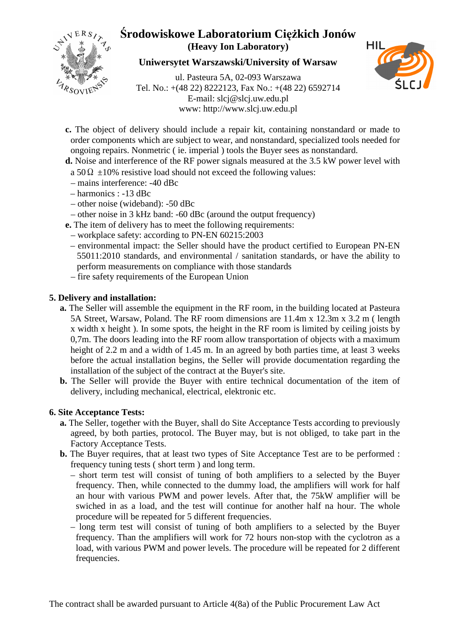

**Uniwersytet Warszawski/University of Warsaw**

ul. Pasteura 5A, 02-093 Warszawa Tel. No.: +(48 22) 8222123, Fax No.: +(48 22) 6592714 E-mail: slcj@slcj.uw.edu.pl www: http://www.slcj.uw.edu.pl



- **c.** The object of delivery should include a repair kit, containing nonstandard or made to order components which are subject to wear, and nonstandard, specialized tools needed for ongoing repairs. Nonmetric ( ie. imperial ) tools the Buyer sees as nonstandard.
- **d.** Noise and interference of the RF power signals measured at the 3.5 kW power level with a 50  $\Omega$  ±10% resistive load should not exceed the following values:
	- mains interference: -40 dBc
- harmonics : -13 dBc
- other noise (wideband): -50 dBc
- other noise in 3 kHz band: -60 dBc (around the output frequency)
- **e.** The item of delivery has to meet the following requirements:
	- workplace safety: according to PN-EN 60215:2003
- environmental impact: the Seller should have the product certified to European PN-EN 55011:2010 standards, and environmental / sanitation standards, or have the ability to perform measurements on compliance with those standards
- fire safety requirements of the European Union

### **5. Delivery and installation:**

- **a.** The Seller will assemble the equipment in the RF room, in the building located at Pasteura 5A Street, Warsaw, Poland. The RF room dimensions are 11.4m x 12.3m x 3.2 m ( length x width x height ). In some spots, the height in the RF room is limited by ceiling joists by 0,7m. The doors leading into the RF room allow transportation of objects with a maximum height of 2.2 m and a width of 1.45 m. In an agreed by both parties time, at least 3 weeks before the actual installation begins, the Seller will provide documentation regarding the installation of the subject of the contract at the Buyer's site.
- **b.** The Seller will provide the Buyer with entire technical documentation of the item of delivery, including mechanical, electrical, elektronic etc.

#### **6. Site Acceptance Tests:**

- **a.** The Seller, together with the Buyer, shall do Site Acceptance Tests according to previously agreed, by both parties, protocol. The Buyer may, but is not obliged, to take part in the Factory Acceptance Tests.
- **b.** The Buyer requires, that at least two types of Site Acceptance Test are to be performed : frequency tuning tests ( short term ) and long term.
	- short term test will consist of tuning of both amplifiers to a selected by the Buyer frequency. Then, while connected to the dummy load, the amplifiers will work for half an hour with various PWM and power levels. After that, the 75kW amplifier will be swiched in as a load, and the test will continue for another half na hour. The whole procedure will be repeated for 5 different frequencies.
	- long term test will consist of tuning of both amplifiers to a selected by the Buyer frequency. Than the amplifiers will work for 72 hours non-stop with the cyclotron as a load, with various PWM and power levels. The procedure will be repeated for 2 different frequencies.